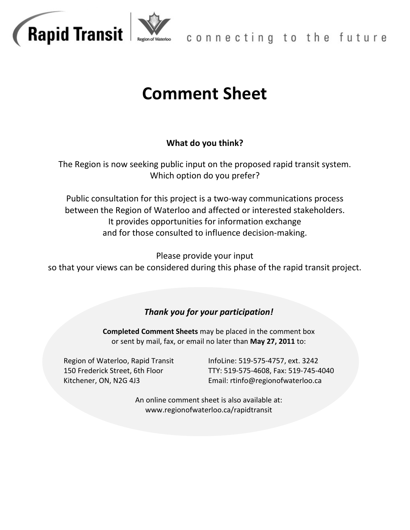

## **Comment Sheet**

## **What do you think?**

The Region is now seeking public input on the proposed rapid transit system. Which option do you prefer?

Public consultation for this project is a two-way communications process between the Region of Waterloo and affected or interested stakeholders. It provides opportunities for information exchange and for those consulted to influence decision-making.

Please provide your input

so that your views can be considered during this phase of the rapid transit project.

## *Thank you for your participation!*

**Completed Comment Sheets** may be placed in the comment box or sent by mail, fax, or email no later than **May 27, 2011** to:

Region of Waterloo, Rapid Transit InfoLine: 519-575-4757, ext. 3242

150 Frederick Street, 6th Floor TTY: 519-575-4608, Fax: 519-745-4040 Kitchener, ON, N2G 4J3 **Email:** rtinfo@regionofwaterloo.ca

> An online comment sheet is also available at: www.regionofwaterloo.ca/rapidtransit